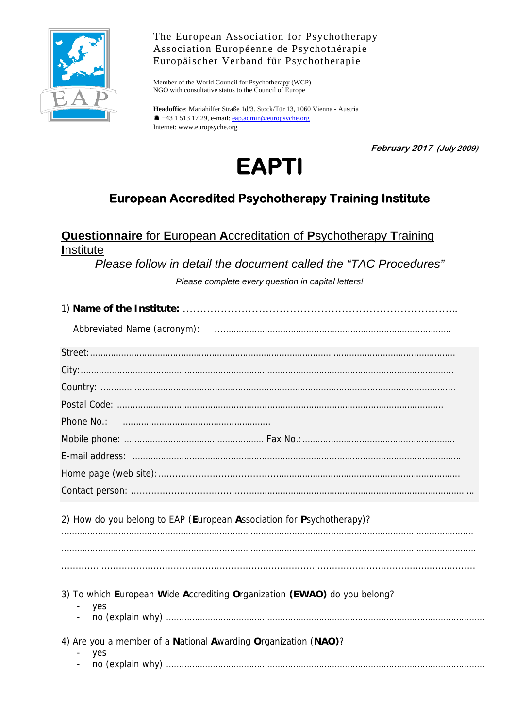

#### The European Association for Psychotherapy Association Européenne de Psychothérapie Europäischer Verband für Psychotherapie

Member of the World Council for Psychotherapy (WCP) NGO with consultative status to the Council of Europe

**Headoffice**: Mariahilfer Straße 1d/3. Stock/Tür 13, 1060 Vienna - Austria ■ +43 1 513 17 29, e-mail: eap.admin@europsyche.org Internet: www.europsyche.org

**February 2017 (July 2009)**



## **European Accredited Psychotherapy Training Institute**

### **Questionnaire** for **E**uropean **A**ccreditation of **P**sychotherapy **T**raining **I**nstitute

*Please follow in detail the document called the "TAC Procedures"*

*Please complete every question in capital letters!* 

| Phone No.:                                                                      |  |  |
|---------------------------------------------------------------------------------|--|--|
|                                                                                 |  |  |
|                                                                                 |  |  |
|                                                                                 |  |  |
|                                                                                 |  |  |
| 2) How do you belong to EAP (European Association for Psychotherapy)?           |  |  |
|                                                                                 |  |  |
| 3) To which European Wide Accrediting Organization (EWAO) do you belong?<br>yes |  |  |
| 4) Are you a member of a National Awarding Organization (NAO)?<br>yes           |  |  |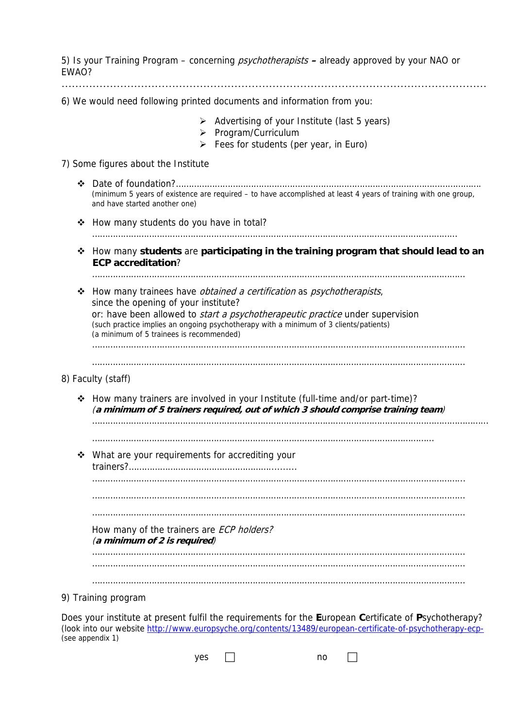5) Is your Training Program – concerning psychotherapists **–** already approved by your NAO or EWAO? …………………………………………………………………………………………………………… 6) We would need following printed documents and information from you:  $\triangleright$  Advertising of your Institute (last 5 years) > Program/Curriculum  $\triangleright$  Fees for students (per year, in Euro) 7) Some figures about the Institute Date of foundation?………………………………………………………………………………………………………. (minimum 5 years of existence are required – to have accomplished at least 4 years of training with one group, and have started another one) \* How many students do you have in total? …………………………………………………………………………………………………………………………… How many **students** are **participating in the training program that should lead to an ECP accreditation**? • How many trainees have *obtained a certification* as *psychotherapists*, since the opening of your institute? or: have been allowed to start a psychotherapeutic practice under supervision (such practice implies an ongoing psychotherapy with a minimum of 3 clients/patients) (a minimum of 5 trainees is recommended) ……………………………………………………………………………………………………………………………… ……………………………………………………………………………………………………………………………… 8) Faculty (staff) How many trainers are involved in your Institute (full-time and/or part-time)? (**a minimum of 5 trainers required, out of which 3 should comprise training team**) ……………………………………………………………………………………………………………………………………… …………………………………………………………………………………………………………………… What are your requirements for accrediting your trainers?……………………………………………….......... ……………………………………………………………………………………………………………………………... . The contract of the contract of the contract of the contract of the contract of the contract of the contract of the contract of the contract of the contract of the contract of the contract of the contract of the contrac ……………………………………………………………………………………………………………………………… How many of the trainers are *ECP holders?* (**<sup>a</sup> minimum of 2 is required**) ……………………………………………………………………………………………………………………………… ……………………………………………………………………………………………………………………………… ……………………………………………………………………………………………………………………………… 9) Training program

Does your institute at present fulfil the requirements for the **E**uropean **C**ertificate of **P**sychotherapy? (look into our website<http://www.europsyche.org/contents/13489/european-certificate-of-psychotherapy-ecp-> (see appendix 1)

| $\cdots$<br>۷ŧ<br>٠<br>. . | no |  |
|----------------------------|----|--|
|----------------------------|----|--|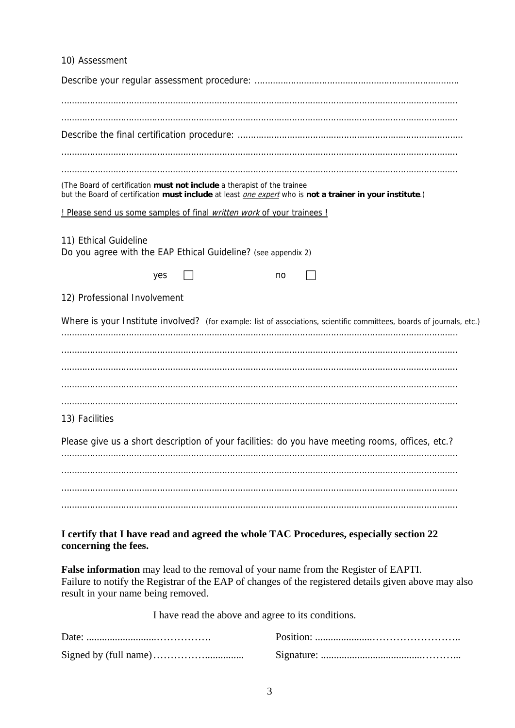| 10) Assessment                                                                                                                                                                                                                          |
|-----------------------------------------------------------------------------------------------------------------------------------------------------------------------------------------------------------------------------------------|
|                                                                                                                                                                                                                                         |
|                                                                                                                                                                                                                                         |
|                                                                                                                                                                                                                                         |
|                                                                                                                                                                                                                                         |
|                                                                                                                                                                                                                                         |
|                                                                                                                                                                                                                                         |
| (The Board of certification must not include a therapist of the trainee<br>but the Board of certification must include at least <i>one expert</i> who is not a trainer in your institute.)                                              |
| ! Please send us some samples of final written work of your trainees !                                                                                                                                                                  |
| 11) Ethical Guideline<br>Do you agree with the EAP Ethical Guideline? (see appendix 2)                                                                                                                                                  |
| yes<br>no                                                                                                                                                                                                                               |
| 12) Professional Involvement                                                                                                                                                                                                            |
| Where is your Institute involved? (for example: list of associations, scientific committees, boards of journals, etc.)                                                                                                                  |
|                                                                                                                                                                                                                                         |
|                                                                                                                                                                                                                                         |
|                                                                                                                                                                                                                                         |
|                                                                                                                                                                                                                                         |
|                                                                                                                                                                                                                                         |
| 13) Facilities                                                                                                                                                                                                                          |
| Please give us a short description of your facilities: do you have meeting rooms, offices, etc.?                                                                                                                                        |
|                                                                                                                                                                                                                                         |
|                                                                                                                                                                                                                                         |
|                                                                                                                                                                                                                                         |
|                                                                                                                                                                                                                                         |
| I certify that I have read and agreed the whole TAC Procedures, especially section 22<br>concerning the fees.                                                                                                                           |
| <b>False information</b> may lead to the removal of your name from the Register of EAPTI.<br>Failure to notify the Registrar of the EAP of changes of the registered details given above may also<br>result in your name being removed. |
| I have read the above and agree to its conditions.                                                                                                                                                                                      |
| $\mathbf{D}_{\alpha}$                                                                                                                                                                                                                   |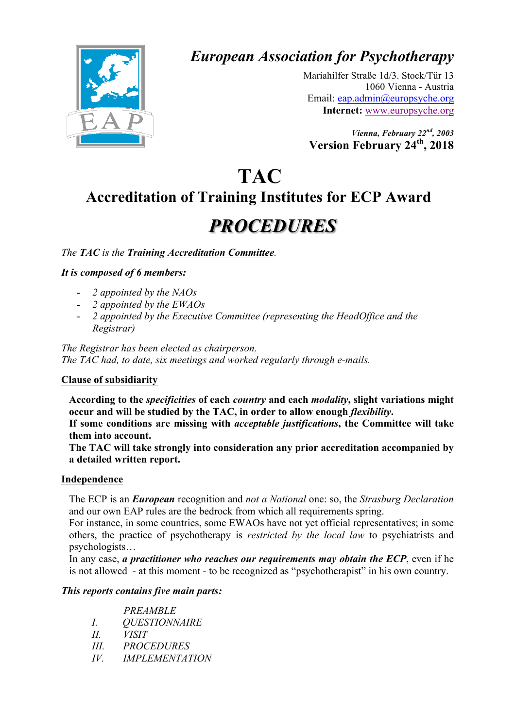

# *European Association for Psychotherapy*

Mariahilfer Straße 1d/3. Stock/Tür 13 1060 Vienna - Austria Email: eap.admin@europsyche.org **Internet:** www.europsyche.org

*Vienna, February 22nd, 2003* **Version February 24th, 2018**

# **TAC**

# **Accreditation of Training Institutes for ECP Award**

# *PROCEDURES*

#### *The TAC is the Training Accreditation Committee.*

*It is composed of 6 members:*

- *2 appointed by the NAOs*
- *2 appointed by the EWAOs*
- *2 appointed by the Executive Committee (representing the HeadOffice and the Registrar)*

*The Registrar has been elected as chairperson. The TAC had, to date, six meetings and worked regularly through e-mails.*

#### **Clause of subsidiarity**

**According to the** *specificities* **of each** *country* **and each** *modality***, slight variations might occur and will be studied by the TAC, in order to allow enough** *flexibility***.**

**If some conditions are missing with** *acceptable justifications***, the Committee will take them into account.**

**The TAC will take strongly into consideration any prior accreditation accompanied by a detailed written report.**

#### **Independence**

The ECP is an *European* recognition and *not a National* one: so, the *Strasburg Declaration* and our own EAP rules are the bedrock from which all requirements spring.

For instance, in some countries, some EWAOs have not yet official representatives; in some others, the practice of psychotherapy is *restricted by the local law* to psychiatrists and psychologists…

In any case, *a practitioner who reaches our requirements may obtain the ECP*, even if he is not allowed - at this moment - to be recognized as "psychotherapist" in his own country.

#### *This reports contains five main parts:*

*PREAMBLE I. QUESTIONNAIRE II. VISIT III. PROCEDURES IV. IMPLEMENTATION*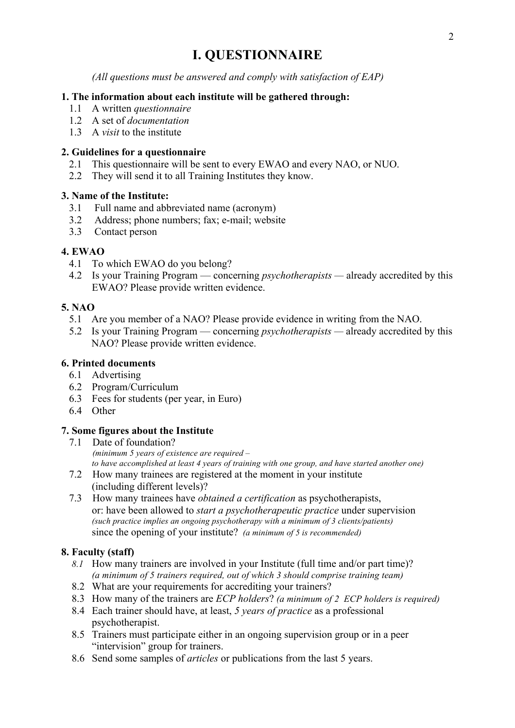## **I. QUESTIONNAIRE**

*(All questions must be answered and comply with satisfaction of EAP)*

#### **1. The information about each institute will be gathered through:**

- 1.1 A written *questionnaire*
- 1.2 A set of *documentation*
- 1.3 A *visit* to the institute

#### **2. Guidelines for a questionnaire**

- 2.1 This questionnaire will be sent to every EWAO and every NAO, or NUO.
- 2.2 They will send it to all Training Institutes they know.

#### **3. Name of the Institute:**

- 3.1 Full name and abbreviated name (acronym)
- 3.2 Address; phone numbers; fax; e-mail; website
- 3.3 Contact person

#### **4. EWAO**

- 4.1 To which EWAO do you belong?
- 4.2 Is your Training Program concerning *psychotherapists —* already accredited by this EWAO? Please provide written evidence.

#### **5. NAO**

- 5.1 Are you member of a NAO? Please provide evidence in writing from the NAO.
- 5.2 Is your Training Program concerning *psychotherapists —* already accredited by this NAO? Please provide written evidence.

#### **6. Printed documents**

- 6.1 Advertising
- 6.2 Program/Curriculum
- 6.3 Fees for students (per year, in Euro)
- 6.4 Other

#### **7. Some figures about the Institute**

- 7.1 Date of foundation? *(minimum 5 years of existence are required – to have accomplished at least 4 years of training with one group, and have started another one)*
- 7.2 How many trainees are registered at the moment in your institute (including different levels)?
- 7.3 How many trainees have *obtained a certification* as psychotherapists, or: have been allowed to *start a psychotherapeutic practice* under supervision *(such practice implies an ongoing psychotherapy with a minimum of 3 clients/patients)* since the opening of your institute? *(a minimum of 5 is recommended)*

#### **8. Faculty (staff)**

- *8.1* How many trainers are involved in your Institute (full time and/or part time)? *(a minimum of 5 trainers required, out of which 3 should comprise training team)*
- 8.2 What are your requirements for accrediting your trainers?
- 8.3 How many of the trainers are *ECP holders*? *(a minimum of 2 ECP holders is required)*
- 8.4 Each trainer should have, at least, *5 years of practice* as a professional psychotherapist.
- 8.5 Trainers must participate either in an ongoing supervision group or in a peer "intervision" group for trainers.
- 8.6 Send some samples of *articles* or publications from the last 5 years.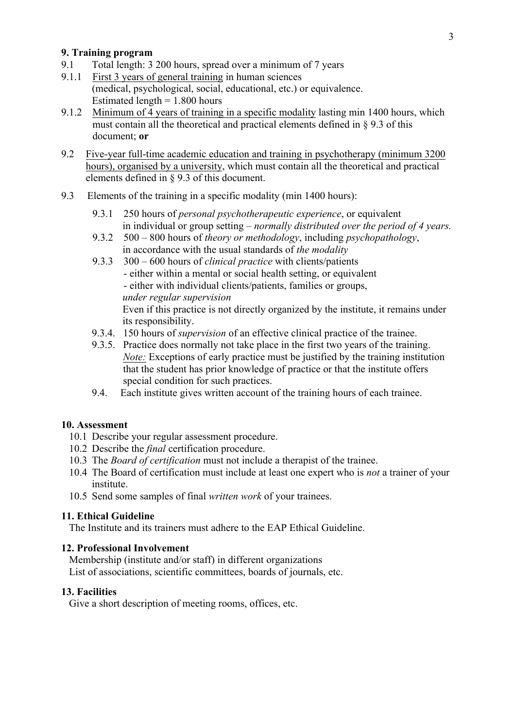#### **9. Training program**

- 9.1 Total length: 3 200 hours, spread over a minimum of 7 years
- 9.1.1 First 3 years of general training in human sciences (medical, psychological, social, educational, etc.) or equivalence. Estimated length  $= 1.800$  hours
- 9.1.2 Minimum of 4 years of training in a specific modality lasting min 1400 hours, which must contain all the theoretical and practical elements defined in § 9.3 of this document; **or**
- 9.2 Five-year full-time academic education and training in psychotherapy (minimum 3200 hours), organised by a university, which must contain all the theoretical and practical elements defined in § 9.3 of this document.
- 9.3 Elements of the training in a specific modality (min 1400 hours):
	- 9.3.1 250 hours of *personal psychotherapeutic experience*, or equivalent in individual or group setting – *normally distributed over the period of 4 years.*
	- 9.3.2 500 800 hours of *theory or methodology*, including *psychopathology*, in accordance with the usual standards of *the modality*
	- 9.3.3 300 600 hours of *clinical practice* with clients/patients - either within a mental or social health setting, or equivalent - either with individual clients/patients, families or groups, *under regular supervision* Even if this practice is not directly organized by the institute, it remains under its responsibility.
	- 9.3.4. 150 hours of *supervision* of an effective clinical practice of the trainee.
	- 9.3.5. Practice does normally not take place in the first two years of the training. *Note:* Exceptions of early practice must be justified by the training institution that the student has prior knowledge of practice or that the institute offers special condition for such practices.
	- 9.4. Each institute gives written account of the training hours of each trainee.

#### **10. Assessment**

- 10.1 Describe your regular assessment procedure.
- 10.2 Describe the *final* certification procedure.
- 10.3 The *Board of certification* must not include a therapist of the trainee.
- 10.4 The Board of certification must include at least one expert who is *not* a trainer of your institute.
- 10.5 Send some samples of final *written work* of your trainees.

#### **11. Ethical Guideline**

The Institute and its trainers must adhere to the EAP Ethical Guideline.

#### **12. Professional Involvement**

Membership (institute and/or staff) in different organizations List of associations, scientific committees, boards of journals, etc.

#### **13. Facilities**

Give a short description of meeting rooms, offices, etc.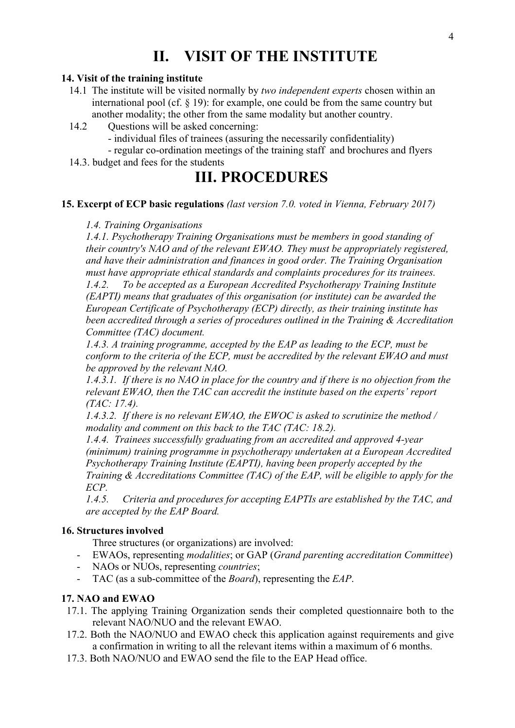# **II. VISIT OF THE INSTITUTE**

#### **14. Visit of the training institute**

- 14.1 The institute will be visited normally by *two independent experts* chosen within an international pool (cf. § 19): for example, one could be from the same country but another modality; the other from the same modality but another country.
- 14.2 Questions will be asked concerning:
	- individual files of trainees (assuring the necessarily confidentiality)
- regular co-ordination meetings of the training staff and brochures and flyers
- 14.3. budget and fees for the students

## **III. PROCEDURES**

#### **15. Excerpt of ECP basic regulations** *(last version 7.0. voted in Vienna, February 2017)*

#### *1.4. Training Organisations*

*1.4.1. Psychotherapy Training Organisations must be members in good standing of their country's NAO and of the relevant EWAO. They must be appropriately registered, and have their administration and finances in good order. The Training Organisation must have appropriate ethical standards and complaints procedures for its trainees. 1.4.2. To be accepted as a European Accredited Psychotherapy Training Institute (EAPTI) means that graduates of this organisation (or institute) can be awarded the European Certificate of Psychotherapy (ECP) directly, as their training institute has been accredited through a series of procedures outlined in the Training & Accreditation Committee (TAC) document.* 

*1.4.3. A training programme, accepted by the EAP as leading to the ECP, must be conform to the criteria of the ECP, must be accredited by the relevant EWAO and must be approved by the relevant NAO.* 

*1.4.3.1. If there is no NAO in place for the country and if there is no objection from the relevant EWAO, then the TAC can accredit the institute based on the experts' report (TAC: 17.4).* 

*1.4.3.2. If there is no relevant EWAO, the EWOC is asked to scrutinize the method / modality and comment on this back to the TAC (TAC: 18.2).* 

*1.4.4. Trainees successfully graduating from an accredited and approved 4-year (minimum) training programme in psychotherapy undertaken at a European Accredited Psychotherapy Training Institute (EAPTI), having been properly accepted by the Training & Accreditations Committee (TAC) of the EAP, will be eligible to apply for the ECP.* 

*1.4.5. Criteria and procedures for accepting EAPTIs are established by the TAC, and are accepted by the EAP Board.* 

#### **16. Structures involved**

Three structures (or organizations) are involved:

- EWAOs, representing *modalities*; or GAP (*Grand parenting accreditation Committee*)
- NAOs or NUOs, representing *countries*;
- TAC (as a sub-committee of the *Board*), representing the *EAP*.

#### **17. NAO and EWAO**

- 17.1. The applying Training Organization sends their completed questionnaire both to the relevant NAO/NUO and the relevant EWAO.
- 17.2. Both the NAO/NUO and EWAO check this application against requirements and give a confirmation in writing to all the relevant items within a maximum of 6 months.
- 17.3. Both NAO/NUO and EWAO send the file to the EAP Head office.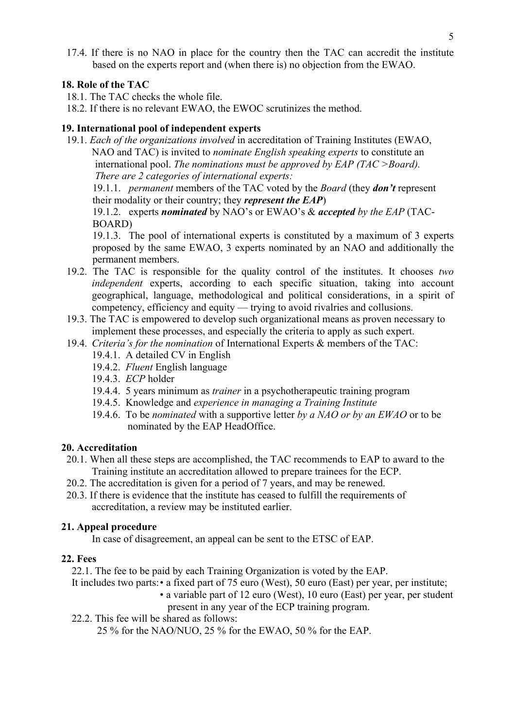17.4. If there is no NAO in place for the country then the TAC can accredit the institute based on the experts report and (when there is) no objection from the EWAO.

#### **18. Role of the TAC**

- 18.1. The TAC checks the whole file.
- 18.2. If there is no relevant EWAO, the EWOC scrutinizes the method.

#### **19. International pool of independent experts**

19.1. *Each of the organizations involved* in accreditation of Training Institutes (EWAO, NAO and TAC) is invited to *nominate English speaking experts* to constitute an international pool. *The nominations must be approved by EAP (TAC >Board). There are 2 categories of international experts:*

19.1.1. *permanent* members of the TAC voted by the *Board* (they *don't* represent their modality or their country; they *represent the EAP*)

19.1.2. experts *nominated* by NAO's or EWAO's & *accepted by the EAP* (TAC-BOARD)

19.1.3. The pool of international experts is constituted by a maximum of 3 experts proposed by the same EWAO, 3 experts nominated by an NAO and additionally the permanent members.

- 19.2. The TAC is responsible for the quality control of the institutes. It chooses *two independent* experts, according to each specific situation, taking into account geographical, language, methodological and political considerations, in a spirit of competency, efficiency and equity — trying to avoid rivalries and collusions.
- 19.3. The TAC is empowered to develop such organizational means as proven necessary to implement these processes, and especially the criteria to apply as such expert.
- 19.4. *Criteria's for the nomination* of International Experts & members of the TAC:
	- 19.4.1. A detailed CV in English
	- 19.4.2. *Fluent* English language
	- 19.4.3. *ECP* holder
	- 19.4.4. 5 years minimum as *trainer* in a psychotherapeutic training program
	- 19.4.5. Knowledge and *experience in managing a Training Institute*
	- 19.4.6. To be *nominated* with a supportive letter *by a NAO or by an EWAO* or to be nominated by the EAP HeadOffice.

#### **20. Accreditation**

- 20.1. When all these steps are accomplished, the TAC recommends to EAP to award to the Training institute an accreditation allowed to prepare trainees for the ECP.
- 20.2. The accreditation is given for a period of 7 years, and may be renewed.
- 20.3. If there is evidence that the institute has ceased to fulfill the requirements of accreditation, a review may be instituted earlier.

#### **21. Appeal procedure**

In case of disagreement, an appeal can be sent to the ETSC of EAP.

#### **22. Fees**

22.1. The fee to be paid by each Training Organization is voted by the EAP.

- It includes two parts:• a fixed part of 75 euro (West), 50 euro (East) per year, per institute;
	- a variable part of 12 euro (West), 10 euro (East) per year, per student present in any year of the ECP training program.

22.2. This fee will be shared as follows:

25 % for the NAO/NUO, 25 % for the EWAO, 50 % for the EAP.